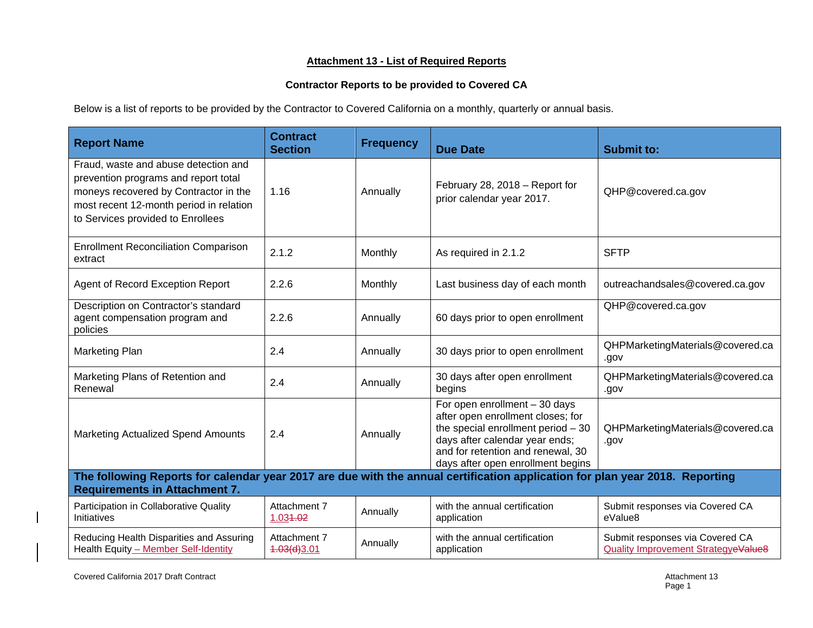## **Attachment 13 - List of Required Reports**

## **Contractor Reports to be provided to Covered CA**

Below is a list of reports to be provided by the Contractor to Covered California on a monthly, quarterly or annual basis.

| <b>Report Name</b>                                                                                                                                                                                    | <b>Contract</b><br><b>Section</b> | <b>Frequency</b> | <b>Due Date</b>                                                                                                                                                                                                        | <b>Submit to:</b>                                                      |
|-------------------------------------------------------------------------------------------------------------------------------------------------------------------------------------------------------|-----------------------------------|------------------|------------------------------------------------------------------------------------------------------------------------------------------------------------------------------------------------------------------------|------------------------------------------------------------------------|
| Fraud, waste and abuse detection and<br>prevention programs and report total<br>moneys recovered by Contractor in the<br>most recent 12-month period in relation<br>to Services provided to Enrollees | 1.16                              | Annually         | February 28, 2018 - Report for<br>prior calendar year 2017.                                                                                                                                                            | QHP@covered.ca.gov                                                     |
| <b>Enrollment Reconciliation Comparison</b><br>extract                                                                                                                                                | 2.1.2                             | Monthly          | As required in 2.1.2                                                                                                                                                                                                   | <b>SFTP</b>                                                            |
| Agent of Record Exception Report                                                                                                                                                                      | 2.2.6                             | Monthly          | Last business day of each month                                                                                                                                                                                        | outreachandsales@covered.ca.gov                                        |
| Description on Contractor's standard<br>agent compensation program and<br>policies                                                                                                                    | 2.2.6                             | Annually         | 60 days prior to open enrollment                                                                                                                                                                                       | QHP@covered.ca.gov                                                     |
| Marketing Plan                                                                                                                                                                                        | 2.4                               | Annually         | 30 days prior to open enrollment                                                                                                                                                                                       | QHPMarketingMaterials@covered.ca<br>.gov                               |
| Marketing Plans of Retention and<br>Renewal                                                                                                                                                           | 2.4                               | Annually         | 30 days after open enrollment<br>begins                                                                                                                                                                                | QHPMarketingMaterials@covered.ca<br>.gov                               |
| Marketing Actualized Spend Amounts                                                                                                                                                                    | 2.4                               | Annually         | For open enrollment $-30$ days<br>after open enrollment closes; for<br>the special enrollment period $-30$<br>days after calendar year ends;<br>and for retention and renewal, 30<br>days after open enrollment begins | QHPMarketingMaterials@covered.ca<br>.gov                               |
| The following Reports for calendar year 2017 are due with the annual certification application for plan year 2018. Reporting<br><b>Requirements in Attachment 7.</b>                                  |                                   |                  |                                                                                                                                                                                                                        |                                                                        |
| Participation in Collaborative Quality<br>Initiatives                                                                                                                                                 | Attachment 7<br>1.034.02          | Annually         | with the annual certification<br>application                                                                                                                                                                           | Submit responses via Covered CA<br>eValue8                             |
| Reducing Health Disparities and Assuring<br>Health Equity - Member Self-Identity                                                                                                                      | Attachment 7<br>4.03(d)3.01       | Annually         | with the annual certification<br>application                                                                                                                                                                           | Submit responses via Covered CA<br>Quality Improvement StrategyeValue8 |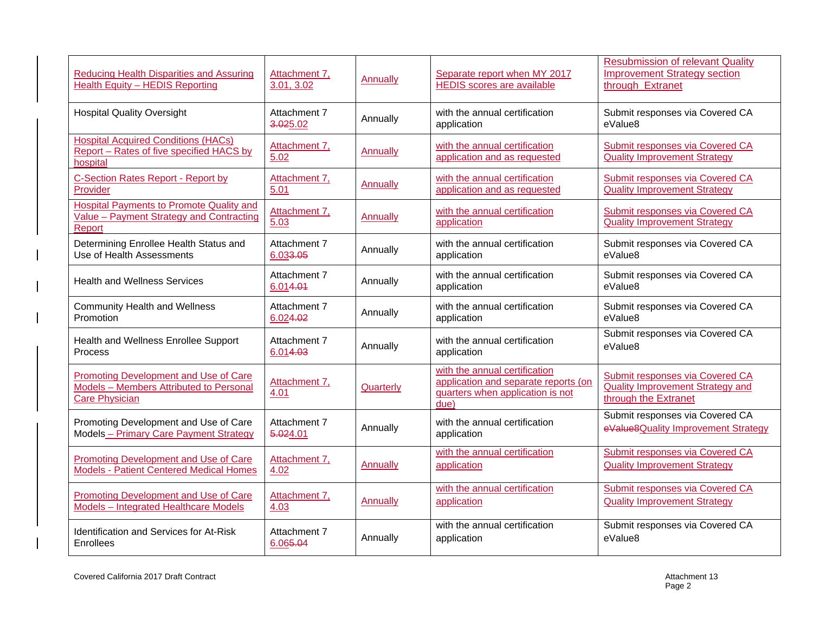| Reducing Health Disparities and Assuring<br><b>Health Equity - HEDIS Reporting</b>                               | Attachment 7,<br>3.01, 3.02 | Annually        | Separate report when MY 2017<br><b>HEDIS</b> scores are available                                                 | <b>Resubmission of relevant Quality</b><br><b>Improvement Strategy section</b><br>through Extranet |
|------------------------------------------------------------------------------------------------------------------|-----------------------------|-----------------|-------------------------------------------------------------------------------------------------------------------|----------------------------------------------------------------------------------------------------|
| <b>Hospital Quality Oversight</b>                                                                                | Attachment 7<br>3.025.02    | Annually        | with the annual certification<br>application                                                                      | Submit responses via Covered CA<br>eValue8                                                         |
| <b>Hospital Acquired Conditions (HACs)</b><br>Report - Rates of five specified HACS by<br>hospital               | Attachment 7,<br>5.02       | <b>Annually</b> | with the annual certification<br>application and as requested                                                     | <b>Submit responses via Covered CA</b><br><b>Quality Improvement Strategy</b>                      |
| <b>C-Section Rates Report - Report by</b>                                                                        | Attachment 7,               | <b>Annually</b> | with the annual certification                                                                                     | Submit responses via Covered CA                                                                    |
| Provider                                                                                                         | 5.01                        |                 | application and as requested                                                                                      | <b>Quality Improvement Strategy</b>                                                                |
| <b>Hospital Payments to Promote Quality and</b><br>Value - Payment Strategy and Contracting<br>Report            | Attachment 7,<br>5.03       | Annually        | with the annual certification<br>application                                                                      | Submit responses via Covered CA<br><b>Quality Improvement Strategy</b>                             |
| Determining Enrollee Health Status and                                                                           | Attachment 7                | Annually        | with the annual certification                                                                                     | Submit responses via Covered CA                                                                    |
| Use of Health Assessments                                                                                        | 6.03 <del>3.05</del>        |                 | application                                                                                                       | eValue8                                                                                            |
| <b>Health and Wellness Services</b>                                                                              | Attachment 7<br>6.014.01    | Annually        | with the annual certification<br>application                                                                      | Submit responses via Covered CA<br>eValue8                                                         |
| <b>Community Health and Wellness</b>                                                                             | Attachment 7                | Annually        | with the annual certification                                                                                     | Submit responses via Covered CA                                                                    |
| Promotion                                                                                                        | 6.024.02                    |                 | application                                                                                                       | eValue8                                                                                            |
| Health and Wellness Enrollee Support                                                                             | Attachment 7                | Annually        | with the annual certification                                                                                     | Submit responses via Covered CA                                                                    |
| Process                                                                                                          | 6.014.03                    |                 | application                                                                                                       | eValue8                                                                                            |
| <b>Promoting Development and Use of Care</b><br>Models - Members Attributed to Personal<br><b>Care Physician</b> | Attachment 7,<br>4.01       | Quarterly       | with the annual certification<br>application and separate reports (on<br>quarters when application is not<br>due) | <b>Submit responses via Covered CA</b><br>Quality Improvement Strategy and<br>through the Extranet |
| Promoting Development and Use of Care                                                                            | Attachment 7                | Annually        | with the annual certification                                                                                     | Submit responses via Covered CA                                                                    |
| Models - Primary Care Payment Strategy                                                                           | 5.024.01                    |                 | application                                                                                                       | eValue8Quality Improvement Strategy                                                                |
| <b>Promoting Development and Use of Care</b>                                                                     | Attachment 7,               | Annually        | with the annual certification                                                                                     | <b>Submit responses via Covered CA</b>                                                             |
| <b>Models - Patient Centered Medical Homes</b>                                                                   | 4.02                        |                 | application                                                                                                       | <b>Quality Improvement Strategy</b>                                                                |
| <b>Promoting Development and Use of Care</b>                                                                     | Attachment 7,               | Annually        | with the annual certification                                                                                     | Submit responses via Covered CA                                                                    |
| <b>Models - Integrated Healthcare Models</b>                                                                     | 4.03                        |                 | application                                                                                                       | <b>Quality Improvement Strategy</b>                                                                |
| <b>Identification and Services for At-Risk</b>                                                                   | Attachment 7                | Annually        | with the annual certification                                                                                     | Submit responses via Covered CA                                                                    |
| Enrollees                                                                                                        | 6.065.04                    |                 | application                                                                                                       | eValue8                                                                                            |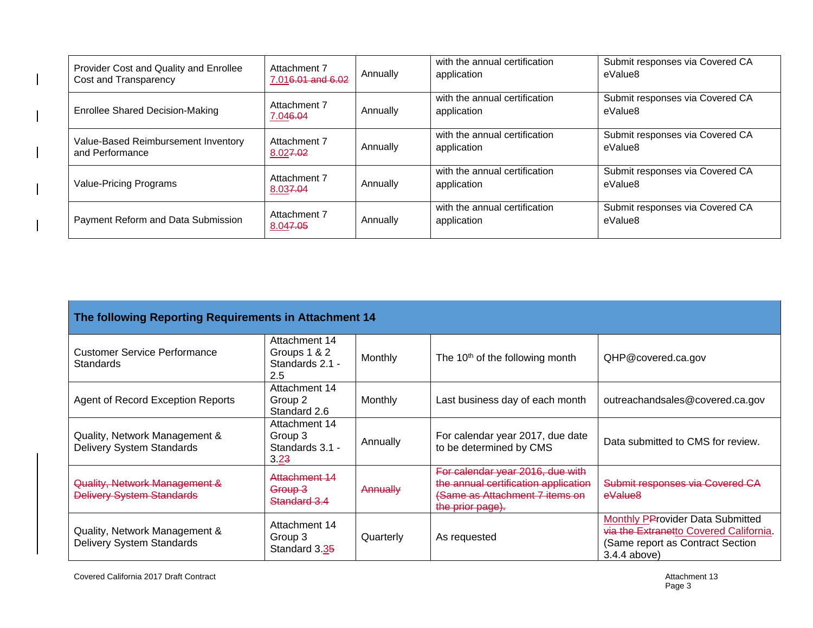| Provider Cost and Quality and Enrollee<br>Cost and Transparency | Attachment 7<br>7.016.01 and 6.02 | Annually | with the annual certification<br>application | Submit responses via Covered CA<br>eValue8 |
|-----------------------------------------------------------------|-----------------------------------|----------|----------------------------------------------|--------------------------------------------|
| <b>Enrollee Shared Decision-Making</b>                          | Attachment 7<br>7.046.04          | Annually | with the annual certification<br>application | Submit responses via Covered CA<br>eValue8 |
| Value-Based Reimbursement Inventory<br>and Performance          | Attachment 7<br>8.027.02          | Annually | with the annual certification<br>application | Submit responses via Covered CA<br>eValue8 |
| Value-Pricing Programs                                          | Attachment 7<br>8.037.04          | Annually | with the annual certification<br>application | Submit responses via Covered CA<br>eValue8 |
| Payment Reform and Data Submission                              | Attachment 7<br>8.047.05          | Annually | with the annual certification<br>application | Submit responses via Covered CA<br>eValue8 |

| The following Reporting Requirements in Attachment 14             |                                                         |           |                                                                                                                                |                                                                                                                                  |
|-------------------------------------------------------------------|---------------------------------------------------------|-----------|--------------------------------------------------------------------------------------------------------------------------------|----------------------------------------------------------------------------------------------------------------------------------|
| <b>Customer Service Performance</b><br>Standards                  | Attachment 14<br>Groups 1 & 2<br>Standards 2.1 -<br>2.5 | Monthly   | The 10 <sup>th</sup> of the following month                                                                                    | QHP@covered.ca.gov                                                                                                               |
| <b>Agent of Record Exception Reports</b>                          | Attachment 14<br>Group 2<br>Standard 2.6                | Monthly   | Last business day of each month                                                                                                | outreachandsales@covered.ca.gov                                                                                                  |
| Quality, Network Management &<br>Delivery System Standards        | Attachment 14<br>Group 3<br>Standards 3.1 -<br>3.23     | Annually  | For calendar year 2017, due date<br>to be determined by CMS                                                                    | Data submitted to CMS for review.                                                                                                |
| Quality, Network Management &<br><b>Delivery System Standards</b> | Attachment 14<br><del>Group 3</del><br>Standard 3.4     | Annually  | For calendar year 2016, due with<br>the annual certification application<br>(Same as Attachment 7 items on<br>the prior page). | Submit responses via Covered CA<br>eValue <sub>8</sub>                                                                           |
| Quality, Network Management &<br>Delivery System Standards        | Attachment 14<br>Group 3<br>Standard 3.35               | Quarterly | As requested                                                                                                                   | Monthly PProvider Data Submitted<br>via the Extranetto Covered California.<br>(Same report as Contract Section<br>$3.4.4$ above) |

Covered California 2017 Draft Contract **Attachment 13** Covered California 2017 Draft Contract Attachment 13

 $\overline{\phantom{a}}$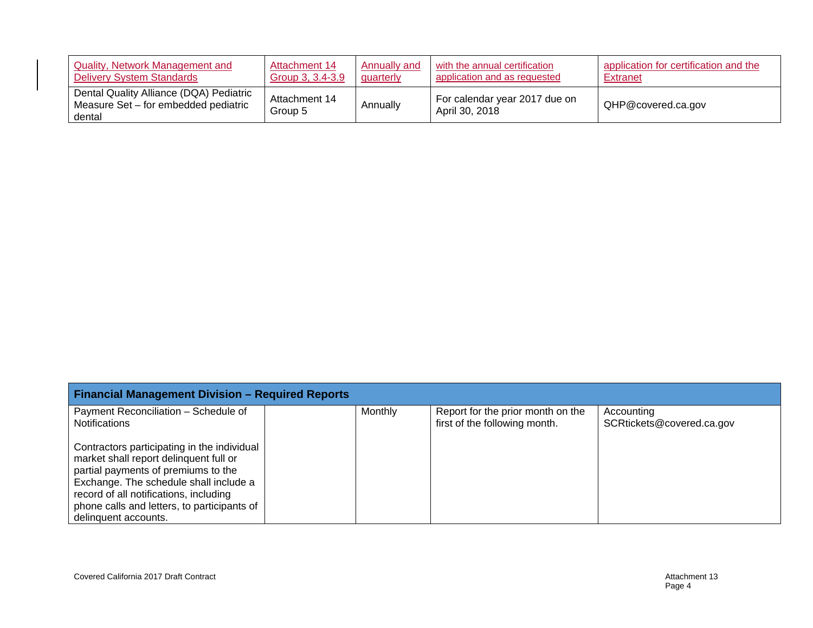| Quality, Network Management and                                                           | Attachment 14            | Annually and | with the annual certification                   | application for certification and the |
|-------------------------------------------------------------------------------------------|--------------------------|--------------|-------------------------------------------------|---------------------------------------|
| <b>Delivery System Standards</b>                                                          | Group 3, 3.4-3.9         | quarterly    | application and as requested                    | <b>Extranet</b>                       |
| Dental Quality Alliance (DQA) Pediatric<br>Measure Set – for embedded pediatric<br>dental | Attachment 14<br>Group 5 | Annually     | For calendar year 2017 due on<br>April 30, 2018 | QHP@covered.ca.gov                    |

| <b>Financial Management Division - Required Reports</b>                                                                                                                                                                                                                                 |                |                                                                    |                                         |  |
|-----------------------------------------------------------------------------------------------------------------------------------------------------------------------------------------------------------------------------------------------------------------------------------------|----------------|--------------------------------------------------------------------|-----------------------------------------|--|
| Payment Reconciliation - Schedule of<br><b>Notifications</b>                                                                                                                                                                                                                            | <b>Monthly</b> | Report for the prior month on the<br>first of the following month. | Accounting<br>SCRtickets@covered.ca.gov |  |
| Contractors participating in the individual<br>market shall report delinguent full or<br>partial payments of premiums to the<br>Exchange. The schedule shall include a<br>record of all notifications, including<br>phone calls and letters, to participants of<br>delinquent accounts. |                |                                                                    |                                         |  |